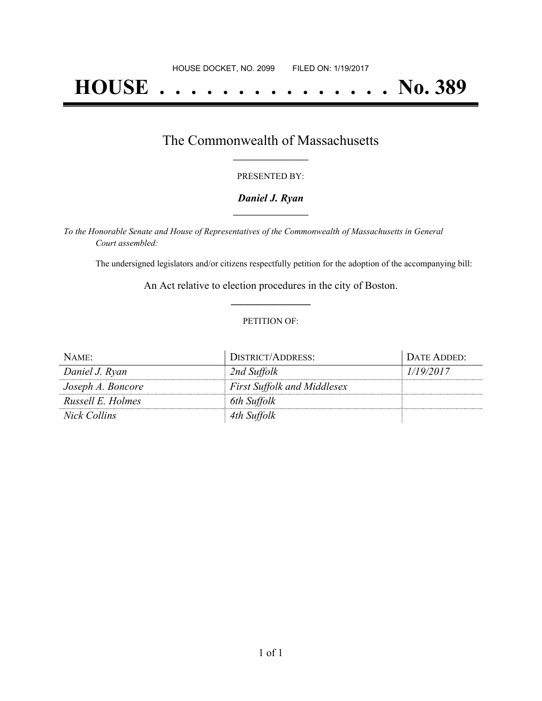# **HOUSE . . . . . . . . . . . . . . . No. 389**

### The Commonwealth of Massachusetts **\_\_\_\_\_\_\_\_\_\_\_\_\_\_\_\_\_**

#### PRESENTED BY:

#### *Daniel J. Ryan* **\_\_\_\_\_\_\_\_\_\_\_\_\_\_\_\_\_**

*To the Honorable Senate and House of Representatives of the Commonwealth of Massachusetts in General Court assembled:*

The undersigned legislators and/or citizens respectfully petition for the adoption of the accompanying bill:

An Act relative to election procedures in the city of Boston. **\_\_\_\_\_\_\_\_\_\_\_\_\_\_\_**

#### PETITION OF:

| NAME:             | DISTRICT/ADDRESS:                  | DATE ADDED: |
|-------------------|------------------------------------|-------------|
| Daniel J. Ryan    | 2nd Suffolk                        | 1/19/2017   |
| Joseph A. Boncore | <b>First Suffolk and Middlesex</b> |             |
| Russell E. Holmes | 6th Suffolk                        |             |
| Nick Collins      | 4th Suffolk                        |             |